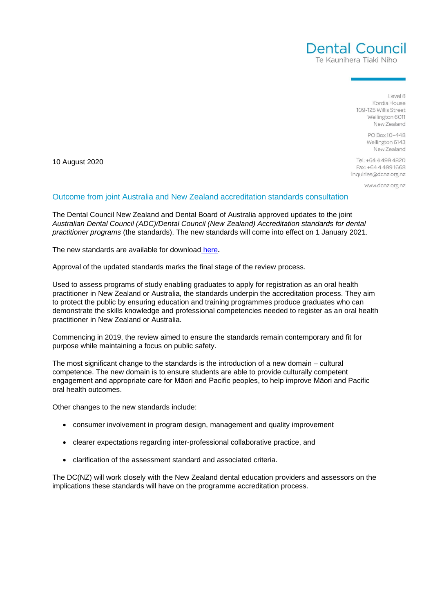

Level 8 Kordia House 109-125 Willis Street Wellington 6011 New Zealand

> PO Box 10-448 Wellington 6143 New Zealand

10 August 2020

Tel: +64 4 499 4820 Fax: +64 4 499 1668 inquiries@dcnz.org.nz

www.dcnz.org.nz

## Outcome from joint Australia and New Zealand accreditation standards consultation

The Dental Council New Zealand and Dental Board of Australia approved updates to the joint *Australian Dental Council (ADC)/Dental Council (New Zealand) Accreditation standards for dental practitioner programs* (the standards). The new standards will come into effect on 1 January 2021.

The new standards are available for download [here](https://dcnz.org.nz/assets/Uploads/Accreditation-standards/ADC-DCNZ-Accreditation-standards-for-dental-practitioner-programs-FINAL-Jan2021.pdf)**.**

Approval of the updated standards marks the final stage of the review process.

Used to assess programs of study enabling graduates to apply for registration as an oral health practitioner in New Zealand or Australia, the standards underpin the accreditation process. They aim to protect the public by ensuring education and training programmes produce graduates who can demonstrate the skills knowledge and professional competencies needed to register as an oral health practitioner in New Zealand or Australia.

Commencing in 2019, the review aimed to ensure the standards remain contemporary and fit for purpose while maintaining a focus on public safety.

The most significant change to the standards is the introduction of a new domain – cultural competence. The new domain is to ensure students are able to provide culturally competent engagement and appropriate care for Māori and Pacific peoples, to help improve Māori and Pacific oral health outcomes.

Other changes to the new standards include:

- consumer involvement in program design, management and quality improvement
- clearer expectations regarding inter-professional collaborative practice, and
- clarification of the assessment standard and associated criteria.

The DC(NZ) will work closely with the New Zealand dental education providers and assessors on the implications these standards will have on the programme accreditation process.